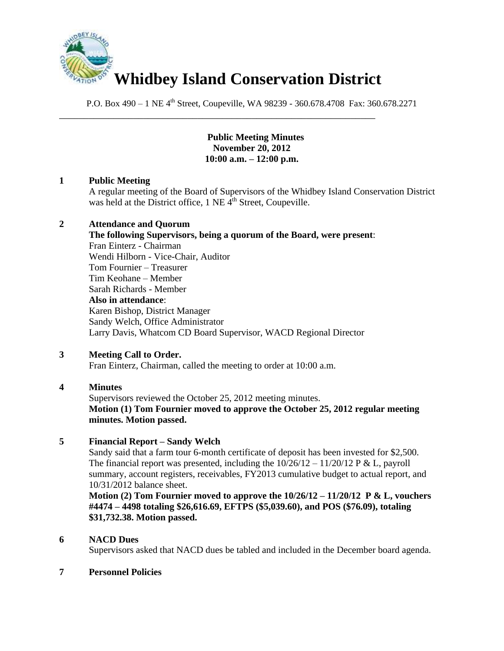

\_\_\_\_\_\_\_\_\_\_\_\_\_\_\_\_\_\_\_\_\_\_\_\_\_\_\_\_\_\_\_\_\_\_\_\_\_\_\_\_\_\_\_\_\_\_\_\_\_\_\_\_\_\_\_\_\_\_\_\_\_\_\_\_

P.O. Box 490 – 1 NE 4<sup>th</sup> Street, Coupeville, WA 98239 - 360.678.4708 Fax: 360.678.2271

## **Public Meeting Minutes November 20, 2012 10:00 a.m. – 12:00 p.m.**

## **1 Public Meeting**

A regular meeting of the Board of Supervisors of the Whidbey Island Conservation District was held at the District office,  $1$  NE  $\tilde{4}^{th}$  Street, Coupeville.

## **2 Attendance and Quorum**

**The following Supervisors, being a quorum of the Board, were present**: Fran Einterz - Chairman Wendi Hilborn - Vice-Chair, Auditor Tom Fournier – Treasurer Tim Keohane – Member Sarah Richards - Member **Also in attendance**: Karen Bishop, District Manager Sandy Welch, Office Administrator Larry Davis, Whatcom CD Board Supervisor, WACD Regional Director

## **3 Meeting Call to Order.**

Fran Einterz, Chairman, called the meeting to order at 10:00 a.m.

## **4 Minutes**

Supervisors reviewed the October 25, 2012 meeting minutes. **Motion (1) Tom Fournier moved to approve the October 25, 2012 regular meeting minutes. Motion passed.**

## **5 Financial Report – Sandy Welch**

Sandy said that a farm tour 6-month certificate of deposit has been invested for \$2,500. The financial report was presented, including the  $10/26/12 - 11/20/12$  P & L, payroll summary, account registers, receivables, FY2013 cumulative budget to actual report, and 10/31/2012 balance sheet.

**Motion (2) Tom Fournier moved to approve the 10/26/12 – 11/20/12 P & L, vouchers #4474 – 4498 totaling \$26,616.69, EFTPS (\$5,039.60), and POS (\$76.09), totaling \$31,732.38. Motion passed.**

## **6 NACD Dues**

Supervisors asked that NACD dues be tabled and included in the December board agenda.

## **7 Personnel Policies**